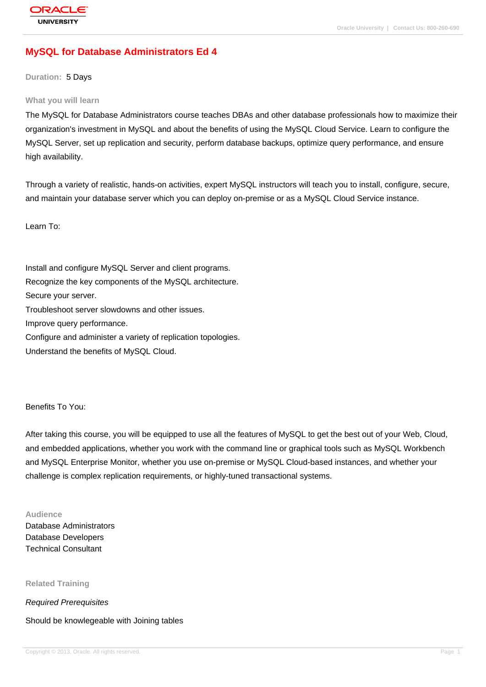# **[MySQL for Dat](http://education.oracle.com/pls/web_prod-plq-dad/db_pages.getpage?page_id=3)abase Administrators Ed 4**

**Duration:** 5 Days

#### **What you will learn**

The MySQL for Database Administrators course teaches DBAs and other database professionals how to maximize their organization's investment in MySQL and about the benefits of using the MySQL Cloud Service. Learn to configure the MySQL Server, set up replication and security, perform database backups, optimize query performance, and ensure high availability.

Through a variety of realistic, hands-on activities, expert MySQL instructors will teach you to install, configure, secure, and maintain your database server which you can deploy on-premise or as a MySQL Cloud Service instance.

Learn To:

Install and configure MySQL Server and client programs. Recognize the key components of the MySQL architecture. Secure your server. Troubleshoot server slowdowns and other issues. Improve query performance. Configure and administer a variety of replication topologies. Understand the benefits of MySQL Cloud.

Benefits To You:

After taking this course, you will be equipped to use all the features of MySQL to get the best out of your Web, Cloud, and embedded applications, whether you work with the command line or graphical tools such as MySQL Workbench and MySQL Enterprise Monitor, whether you use on-premise or MySQL Cloud-based instances, and whether your challenge is complex replication requirements, or highly-tuned transactional systems.

#### **Audience**

Database Administrators Database Developers Technical Consultant

**Related Training**

Required Prerequisites

Should be knowlegeable with Joining tables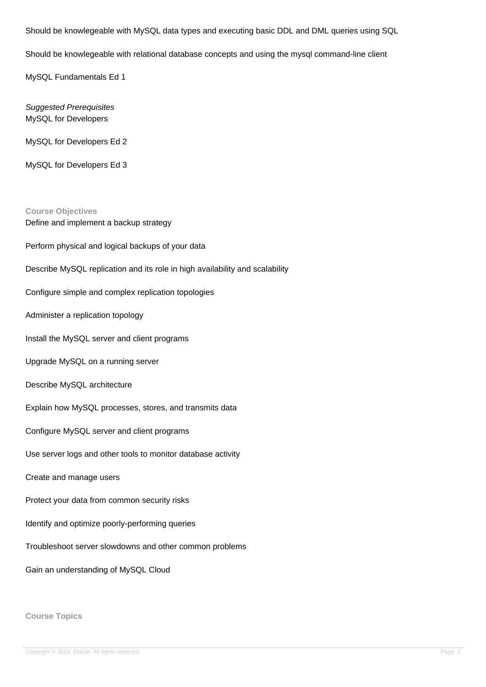Should be knowlegeable with MySQL data types and executing basic DDL and DML queries using SQL

Should be knowlegeable with relational database concepts and using the mysql command-line client

MySQL Fundamentals Ed 1

Suggested Prerequisites MySQL for Developers

MySQL for Developers Ed 2

MySQL for Developers Ed 3

**Course Objectives** Define and implement a backup strategy Perform physical and logical backups of your data Describe MySQL replication and its role in high availability and scalability Configure simple and complex replication topologies Administer a replication topology Install the MySQL server and client programs Upgrade MySQL on a running server Describe MySQL architecture Explain how MySQL processes, stores, and transmits data Configure MySQL server and client programs Use server logs and other tools to monitor database activity Create and manage users Protect your data from common security risks Identify and optimize poorly-performing queries Troubleshoot server slowdowns and other common problems Gain an understanding of MySQL Cloud

**Course Topics**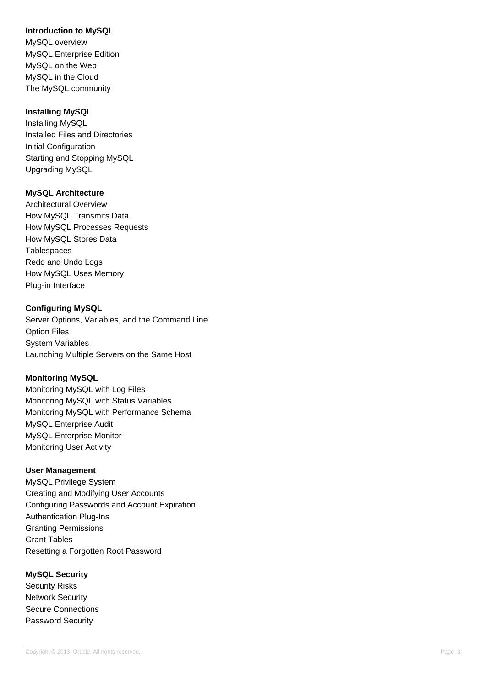## **Introduction to MySQL**

MySQL overview MySQL Enterprise Edition MySQL on the Web MySQL in the Cloud The MySQL community

## **Installing MySQL**

Installing MySQL Installed Files and Directories Initial Configuration Starting and Stopping MySQL Upgrading MySQL

## **MySQL Architecture**

Architectural Overview How MySQL Transmits Data How MySQL Processes Requests How MySQL Stores Data **Tablespaces** Redo and Undo Logs How MySQL Uses Memory Plug-in Interface

## **Configuring MySQL**

Server Options, Variables, and the Command Line Option Files System Variables Launching Multiple Servers on the Same Host

## **Monitoring MySQL**

Monitoring MySQL with Log Files Monitoring MySQL with Status Variables Monitoring MySQL with Performance Schema MySQL Enterprise Audit MySQL Enterprise Monitor Monitoring User Activity

## **User Management**

MySQL Privilege System Creating and Modifying User Accounts Configuring Passwords and Account Expiration Authentication Plug-Ins Granting Permissions Grant Tables Resetting a Forgotten Root Password

## **MySQL Security**

Security Risks Network Security Secure Connections Password Security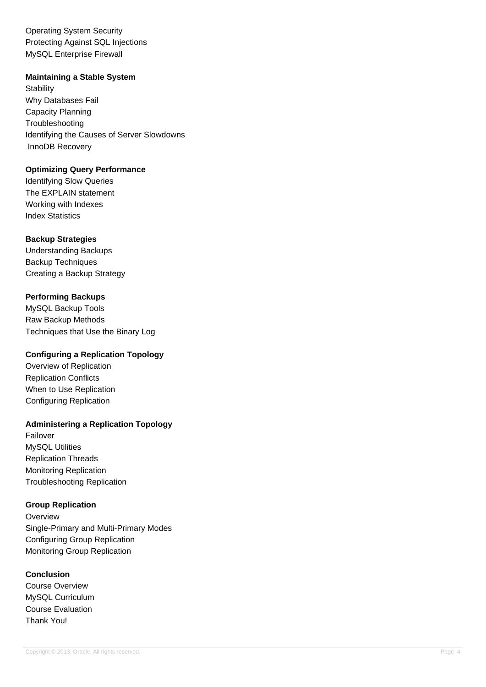Operating System Security Protecting Against SQL Injections MySQL Enterprise Firewall

#### **Maintaining a Stable System**

**Stability** Why Databases Fail Capacity Planning **Troubleshooting** Identifying the Causes of Server Slowdowns InnoDB Recovery

#### **Optimizing Query Performance**

Identifying Slow Queries The EXPLAIN statement Working with Indexes Index Statistics

#### **Backup Strategies**

Understanding Backups Backup Techniques Creating a Backup Strategy

## **Performing Backups**

MySQL Backup Tools Raw Backup Methods Techniques that Use the Binary Log

# **Configuring a Replication Topology**

Overview of Replication Replication Conflicts When to Use Replication Configuring Replication

## **Administering a Replication Topology**

Failover MySQL Utilities Replication Threads Monitoring Replication Troubleshooting Replication

## **Group Replication**

**Overview** Single-Primary and Multi-Primary Modes Configuring Group Replication Monitoring Group Replication

#### **Conclusion**

Course Overview MySQL Curriculum Course Evaluation Thank You!